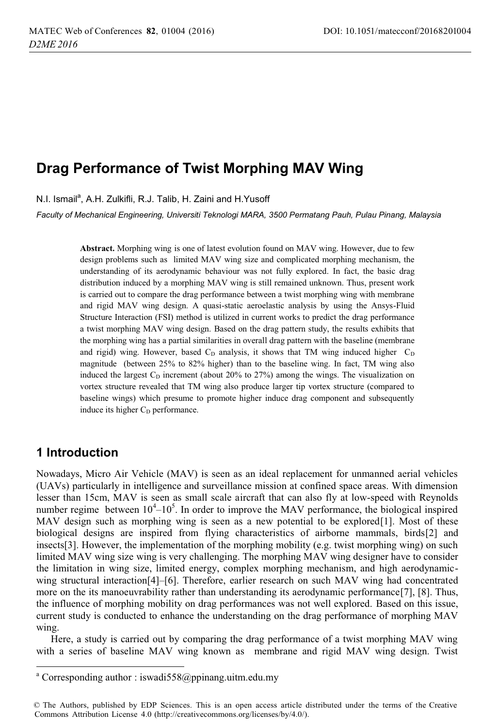# **Drag Performance of Twist Morphing MAV Wing**

N.I. Ismail<sup>a</sup>, A.H. Zulkifli, R.J. Talib, H. Zaini and H.Yusoff

*Faculty of Mechanical Engineering, Universiti Teknologi MARA, 3500 Permatang Pauh, Pulau Pinang, Malaysia* 

**Abstract.** Morphing wing is one of latest evolution found on MAV wing. However, due to few design problems such as limited MAV wing size and complicated morphing mechanism, the understanding of its aerodynamic behaviour was not fully explored. In fact, the basic drag distribution induced by a morphing MAV wing is still remained unknown. Thus, present work is carried out to compare the drag performance between a twist morphing wing with membrane and rigid MAV wing design. A quasi-static aeroelastic analysis by using the Ansys-Fluid Structure Interaction (FSI) method is utilized in current works to predict the drag performance a twist morphing MAV wing design. Based on the drag pattern study, the results exhibits that the morphing wing has a partial similarities in overall drag pattern with the baseline (membrane and rigid) wing. However, based  $C_D$  analysis, it shows that TM wing induced higher  $C_D$ magnitude (between 25% to 82% higher) than to the baseline wing. In fact, TM wing also induced the largest  $C_D$  increment (about 20% to 27%) among the wings. The visualization on vortex structure revealed that TM wing also produce larger tip vortex structure (compared to baseline wings) which presume to promote higher induce drag component and subsequently induce its higher  $C_D$  performance.

### **1 Introduction**

j

Nowadays, Micro Air Vehicle (MAV) is seen as an ideal replacement for unmanned aerial vehicles (UAVs) particularly in intelligence and surveillance mission at confined space areas. With dimension lesser than 15cm, MAV is seen as small scale aircraft that can also fly at low-speed with Reynolds number regime between  $10^4 - 10^5$ . In order to improve the MAV performance, the biological inspired MAV design such as morphing wing is seen as a new potential to be explored[1]. Most of these biological designs are inspired from flying characteristics of airborne mammals, birds[2] and insects[3]. However, the implementation of the morphing mobility (e.g. twist morphing wing) on such limited MAV wing size wing is very challenging. The morphing MAV wing designer have to consider the limitation in wing size, limited energy, complex morphing mechanism, and high aerodynamicwing structural interaction[4]–[6]. Therefore, earlier research on such MAV wing had concentrated more on the its manoeuvrability rather than understanding its aerodynamic performance[7], [8]. Thus, the influence of morphing mobility on drag performances was not well explored. Based on this issue, current study is conducted to enhance the understanding on the drag performance of morphing MAV wing.

Here, a study is carried out by comparing the drag performance of a twist morphing MAV wing with a series of baseline MAV wing known as membrane and rigid MAV wing design. Twist

<sup>&</sup>lt;sup>a</sup> Corresponding author : iswadi558@ppinang.uitm.edu.my

<sup>©</sup> The Authors, published by EDP Sciences. This is an open access article distributed under the terms of the Creative Commons Attribution License 4.0 (http://creativecommons.org/licenses/by/4.0/).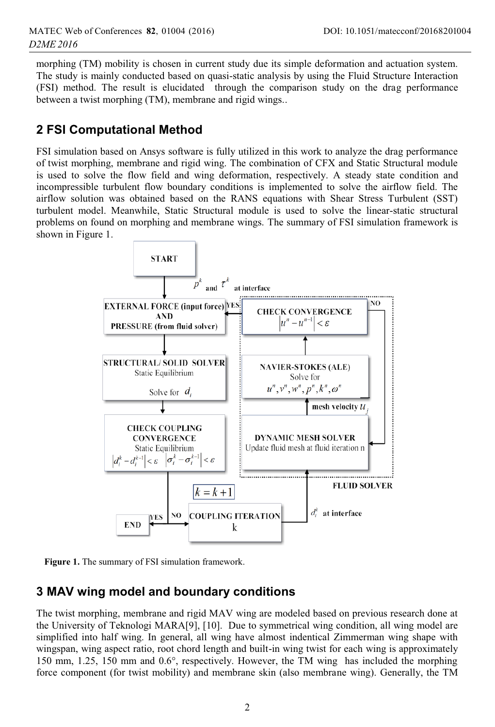morphing (TM) mobility is chosen in current study due its simple deformation and actuation system. The study is mainly conducted based on quasi-static analysis by using the Fluid Structure Interaction (FSI) method. The result is elucidated through the comparison study on the drag performance between a twist morphing (TM), membrane and rigid wings..

### **2 FSI Computational Method**

FSI simulation based on Ansys software is fully utilized in this work to analyze the drag performance of twist morphing, membrane and rigid wing. The combination of CFX and Static Structural module is used to solve the flow field and wing deformation, respectively. A steady state condition and incompressible turbulent flow boundary conditions is implemented to solve the airflow field. The airflow solution was obtained based on the RANS equations with Shear Stress Turbulent (SST) turbulent model. Meanwhile, Static Structural module is used to solve the linear-static structural problems on found on morphing and membrane wings. The summary of FSI simulation framework is shown in Figure 1.



**Figure 1.** The summary of FSI simulation framework.

### **3 MAV wing model and boundary conditions**

The twist morphing, membrane and rigid MAV wing are modeled based on previous research done at the University of Teknologi MARA[9], [10]. Due to symmetrical wing condition, all wing model are simplified into half wing. In general, all wing have almost indentical Zimmerman wing shape with wingspan, wing aspect ratio, root chord length and built-in wing twist for each wing is approximately 150 mm, 1.25, 150 mm and 0.6°, respectively. However, the TM wing has included the morphing force component (for twist mobility) and membrane skin (also membrane wing). Generally, the TM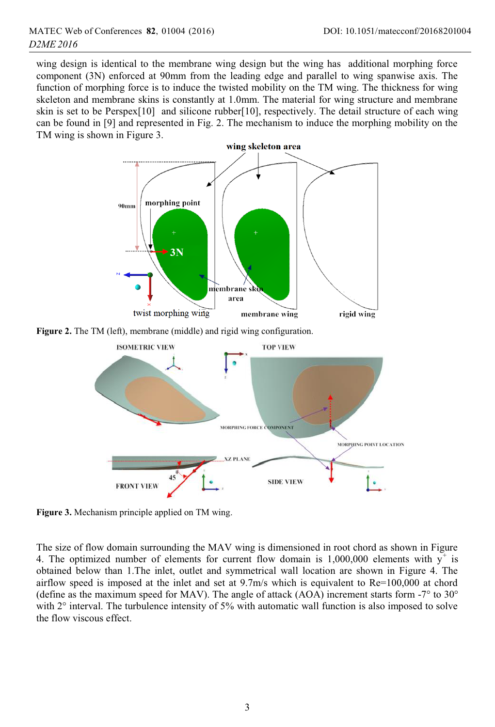wing design is identical to the membrane wing design but the wing has additional morphing force component (3N) enforced at 90mm from the leading edge and parallel to wing spanwise axis. The function of morphing force is to induce the twisted mobility on the TM wing. The thickness for wing skeleton and membrane skins is constantly at 1.0mm. The material for wing structure and membrane skin is set to be Perspex[10] and silicone rubber[10], respectively. The detail structure of each wing can be found in [9] and represented in Fig. 2. The mechanism to induce the morphing mobility on the TM wing is shown in Figure 3.





**Figure 3.** Mechanism principle applied on TM wing.

The size of flow domain surrounding the MAV wing is dimensioned in root chord as shown in Figure 4. The optimized number of elements for current flow domain is  $1,000,000$  elements with  $y^+$  is obtained below than 1.The inlet, outlet and symmetrical wall location are shown in Figure 4. The airflow speed is imposed at the inlet and set at 9.7m/s which is equivalent to Re=100,000 at chord (define as the maximum speed for MAV). The angle of attack (AOA) increment starts form  $-7^{\circ}$  to  $30^{\circ}$ with  $2^{\circ}$  interval. The turbulence intensity of 5% with automatic wall function is also imposed to solve the flow viscous effect.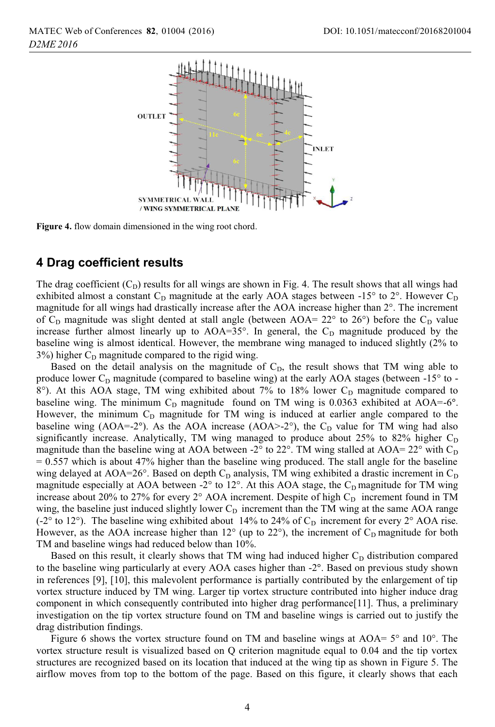

**Figure 4.** flow domain dimensioned in the wing root chord.

#### **4 Drag coefficient results**

The drag coefficient  $(C_D)$  results for all wings are shown in Fig. 4. The result shows that all wings had exhibited almost a constant  $C_D$  magnitude at the early AOA stages between  $-15^\circ$  to  $2^\circ$ . However  $C_D$ magnitude for all wings had drastically increase after the AOA increase higher than 2°. The increment of  $C_D$  magnitude was slight dented at stall angle (between AOA= 22 $\degree$  to 26 $\degree$ ) before the  $C_D$  value increase further almost linearly up to  $AOA=35^\circ$ . In general, the  $C_D$  magnitude produced by the baseline wing is almost identical. However, the membrane wing managed to induced slightly (2% to  $3\%$ ) higher C<sub>D</sub> magnitude compared to the rigid wing.

Based on the detail analysis on the magnitude of  $C<sub>D</sub>$ , the result shows that TM wing able to produce lower  $C_D$  magnitude (compared to baseline wing) at the early AOA stages (between -15 $\degree$  to - $8^\circ$ ). At this AOA stage, TM wing exhibited about 7% to 18% lower C<sub>D</sub> magnitude compared to baseline wing. The minimum  $C_D$  magnitude found on TM wing is 0.0363 exhibited at AOA=-6°. However, the minimum  $C_D$  magnitude for TM wing is induced at earlier angle compared to the baseline wing (AOA=-2°). As the AOA increase (AOA>-2°), the  $C<sub>D</sub>$  value for TM wing had also significantly increase. Analytically, TM wing managed to produce about  $25\%$  to  $82\%$  higher  $C_D$ magnitude than the baseline wing at AOA between -2° to 22°. TM wing stalled at AOA=  $22^{\circ}$  with C<sub>D</sub>  $= 0.557$  which is about 47% higher than the baseline wing produced. The stall angle for the baseline wing delayed at AOA=26 $\degree$ . Based on depth C<sub>D</sub> analysis, TM wing exhibited a drastic increment in C<sub>D</sub> magnitude especially at AOA between  $-2^{\circ}$  to 12°. At this AOA stage, the C<sub>D</sub> magnitude for TM wing increase about 20% to 27% for every  $2^{\circ}$  AOA increment. Despite of high C<sub>D</sub> increment found in TM wing, the baseline just induced slightly lower  $C<sub>D</sub>$  increment than the TM wing at the same AOA range (-2° to 12°). The baseline wing exhibited about 14% to 24% of  $C<sub>D</sub>$  increment for every 2° AOA rise. However, as the AOA increase higher than  $12^{\circ}$  (up to  $22^{\circ}$ ), the increment of  $C<sub>D</sub>$  magnitude for both TM and baseline wings had reduced below than 10%.

Based on this result, it clearly shows that TM wing had induced higher  $C<sub>D</sub>$  distribution compared to the baseline wing particularly at every AOA cases higher than -2°. Based on previous study shown in references [9], [10], this malevolent performance is partially contributed by the enlargement of tip vortex structure induced by TM wing. Larger tip vortex structure contributed into higher induce drag component in which consequently contributed into higher drag performance[11]. Thus, a preliminary investigation on the tip vortex structure found on TM and baseline wings is carried out to justify the drag distribution findings.

Figure 6 shows the vortex structure found on TM and baseline wings at  $AOA=5^\circ$  and  $10^\circ$ . The vortex structure result is visualized based on Q criterion magnitude equal to 0.04 and the tip vortex structures are recognized based on its location that induced at the wing tip as shown in Figure 5. The airflow moves from top to the bottom of the page. Based on this figure, it clearly shows that each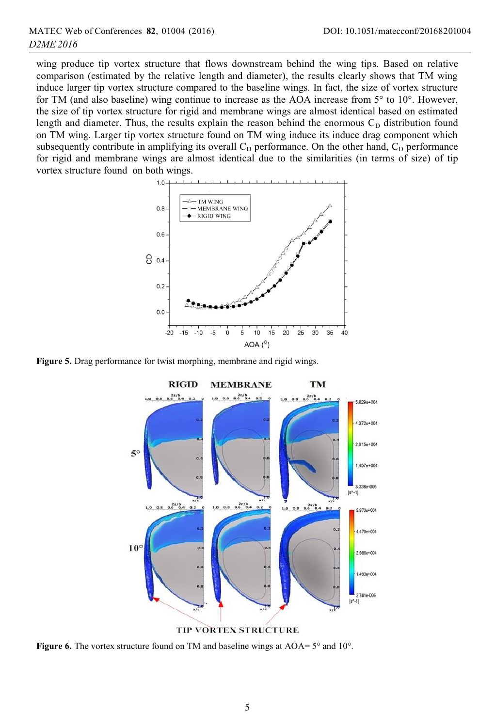wing produce tip vortex structure that flows downstream behind the wing tips. Based on relative comparison (estimated by the relative length and diameter), the results clearly shows that TM wing induce larger tip vortex structure compared to the baseline wings. In fact, the size of vortex structure for TM (and also baseline) wing continue to increase as the AOA increase from 5° to 10°. However, the size of tip vortex structure for rigid and membrane wings are almost identical based on estimated length and diameter. Thus, the results explain the reason behind the enormous  $C<sub>D</sub>$  distribution found on TM wing. Larger tip vortex structure found on TM wing induce its induce drag component which subsequently contribute in amplifying its overall  $C<sub>D</sub>$  performance. On the other hand,  $C<sub>D</sub>$  performance for rigid and membrane wings are almost identical due to the similarities (in terms of size) of tip vortex structure found on both wings.



**Figure 5.** Drag performance for twist morphing, membrane and rigid wings.



**Figure 6.** The vortex structure found on TM and baseline wings at AOA=  $5^{\circ}$  and  $10^{\circ}$ .